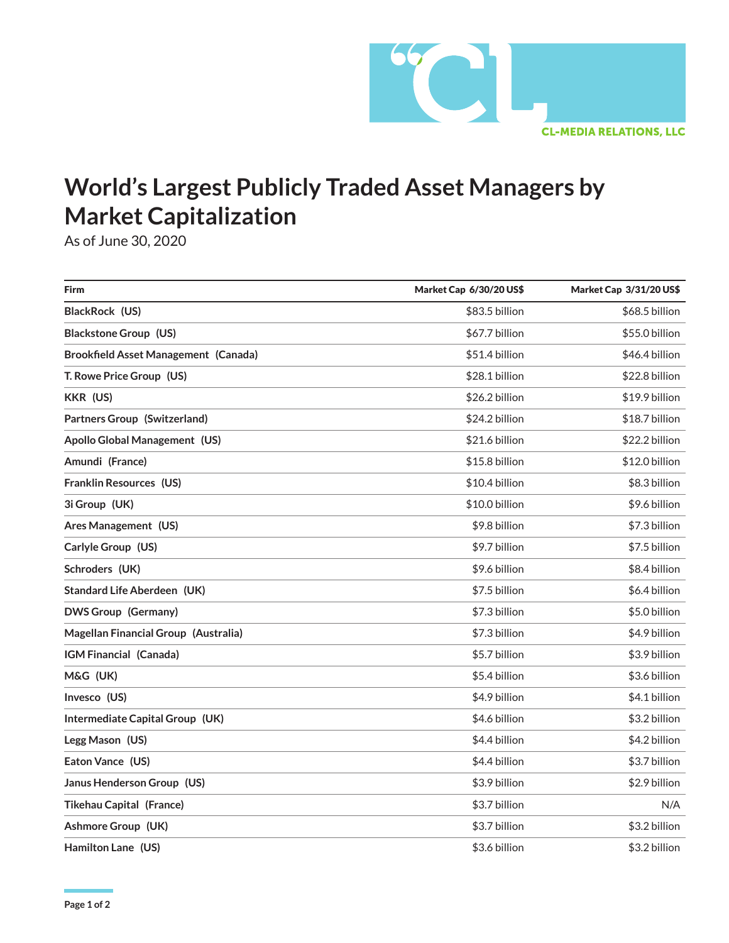

## **World's Largest Publicly Traded Asset Managers by Market Capitalization**

As of June 30, 2020

| <b>Firm</b>                                 | Market Cap 6/30/20 US\$ | Market Cap 3/31/20 US\$ |
|---------------------------------------------|-------------------------|-------------------------|
| BlackRock (US)                              | \$83.5 billion          | \$68.5 billion          |
| <b>Blackstone Group (US)</b>                | \$67.7 billion          | \$55.0 billion          |
| <b>Brookfield Asset Management (Canada)</b> | \$51.4 billion          | \$46.4 billion          |
| T. Rowe Price Group (US)                    | \$28.1 billion          | \$22.8 billion          |
| KKR (US)                                    | \$26.2 billion          | \$19.9 billion          |
| Partners Group (Switzerland)                | \$24.2 billion          | \$18.7 billion          |
| Apollo Global Management (US)               | \$21.6 billion          | \$22.2 billion          |
| Amundi (France)                             | \$15.8 billion          | \$12.0 billion          |
| Franklin Resources (US)                     | \$10.4 billion          | \$8.3 billion           |
| 3i Group (UK)                               | \$10.0 billion          | \$9.6 billion           |
| Ares Management (US)                        | \$9.8 billion           | \$7.3 billion           |
| Carlyle Group (US)                          | \$9.7 billion           | \$7.5 billion           |
| Schroders (UK)                              | \$9.6 billion           | \$8.4 billion           |
| <b>Standard Life Aberdeen (UK)</b>          | \$7.5 billion           | \$6.4 billion           |
| <b>DWS Group (Germany)</b>                  | \$7.3 billion           | \$5.0 billion           |
| Magellan Financial Group (Australia)        | \$7.3 billion           | \$4.9 billion           |
| IGM Financial (Canada)                      | \$5.7 billion           | \$3.9 billion           |
| M&G (UK)                                    | \$5.4 billion           | \$3.6 billion           |
| Invesco (US)                                | \$4.9 billion           | \$4.1 billion           |
| Intermediate Capital Group (UK)             | \$4.6 billion           | \$3.2 billion           |
| Legg Mason (US)                             | \$4.4 billion           | \$4.2 billion           |
| Eaton Vance (US)                            | \$4.4 billion           | \$3.7 billion           |
| Janus Henderson Group (US)                  | \$3.9 billion           | \$2.9 billion           |
| <b>Tikehau Capital (France)</b>             | \$3.7 billion           | N/A                     |
| Ashmore Group (UK)                          | \$3.7 billion           | \$3.2 billion           |
| Hamilton Lane (US)                          | \$3.6 billion           | \$3.2 billion           |